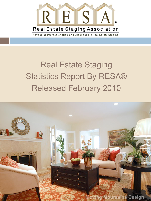

## Real Estate Staging Statistics Report By RESA® Released February 2010

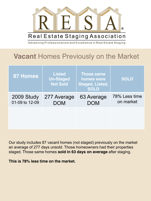

## **Vacant** Homes Previously on the Market

| 87 Homes                     | <b>Listed</b><br><b>Un-Staged</b><br><b>Not Sold</b> | <b>Those same</b><br>homes were<br><b>Staged, Listed,</b><br><b>SOLD</b> | <b>SOLD</b>                |
|------------------------------|------------------------------------------------------|--------------------------------------------------------------------------|----------------------------|
| 2009 Study<br>01-09 to 12-09 | 277 Average<br><b>DOM</b>                            | 63 Average<br><b>DOM</b>                                                 | 78% Less time<br>on market |
|                              |                                                      |                                                                          |                            |

Our study includes 87 vacant homes (not staged) previously on the market an average of 277 days unsold. Those homeowners had their properties staged. Those same homes **sold in 63 days on average** after staging.

**This is 78% less time on the market.**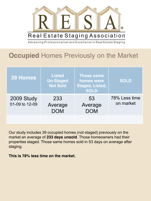

**Occupied** Homes Previously on the Market

| <b>39 Homes</b>              | <b>Listed</b><br><b>Un-Staged</b><br><b>Not Sold</b> | <b>Those same</b><br>homes were<br>Staged, Listed,<br><b>SOLD</b> | <b>SOLD</b>                |
|------------------------------|------------------------------------------------------|-------------------------------------------------------------------|----------------------------|
| 2009 Study<br>01-09 to 12-09 | 233<br>Average<br><b>DOM</b>                         | 53<br>Average<br><b>DOM</b>                                       | 78% Less time<br>on market |
|                              |                                                      |                                                                   |                            |

Our study includes 39 occupied homes (not staged) previously on the market an average of **233 days unsold**. Those homeowners had their properties staged. Those same homes sold in 53 days on average after staging.

**This is 78% less time on the market.**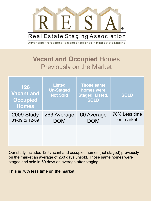

## **Vacant and Occupied** Homes Previously on the Market

| 126<br><b>Vacant and</b><br><b>Occupied</b><br><b>Homes</b> | <b>Listed</b><br><b>Un-Staged</b><br><b>Not Sold</b> | <b>Those same</b><br>homes were<br><b>Staged, Listed,</b><br><b>SOLD</b> | <b>SOLD</b>                |
|-------------------------------------------------------------|------------------------------------------------------|--------------------------------------------------------------------------|----------------------------|
| 2009 Study<br>01-09 to 12-09                                | 263 Average<br><b>DOM</b>                            | 60 Average<br><b>DOM</b>                                                 | 78% Less time<br>on market |
|                                                             |                                                      |                                                                          |                            |

Our study includes 126 vacant and occupied homes (not staged) previously on the market an average of 263 days unsold. Those same homes were staged and sold in 60 days on average after staging.

**This is 78% less time on the market.**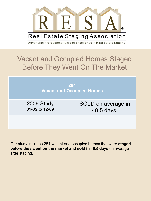

## Vacant and Occupied Homes Staged Before They Went On The Market

**284 Vacant and Occupied Homes**

2009 Study 01-09 to 12-09 SOLD on average in 40.5 days

Our study includes 284 vacant and occupied homes that were **staged before they went on the market and sold in 40.5 days** on average after staging.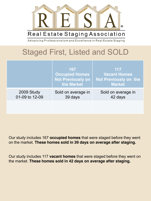

### Real Estate Staging Association

Advancing Professionalism and Excellence in Real Estate Staging

## Staged First, Listed and SOLD

|                              | 167<br><b>Occupied Homes</b><br><b>Not Previously on</b><br>the Market | 117<br><b>Vacant Homes</b><br><b>Not Previously on the</b><br><b>Market</b> |
|------------------------------|------------------------------------------------------------------------|-----------------------------------------------------------------------------|
| 2009 Study<br>01-09 to 12-09 | Sold on average in<br>39 days                                          | Sold on average in<br>42 days                                               |
|                              |                                                                        |                                                                             |

Our study includes 167 **occupied homes** that were staged before they went on the market. **These homes sold in 39 days on average after staging.** 

Our study includes 117 **vacant homes** that were staged before they went on the market. **These homes sold in 42 days on average after staging.**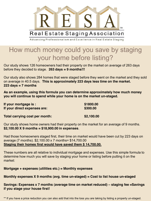Real Estate Staging Association

Advancing Professionalism and Excellence in Real Estate Staging

### How much money could you save by staging your home before listing?

Our study shows 126 homeowners had their property on the market on average of 263 days before they decided to stage. **263 days = 9 months!!!**

Our study also shows 284 homes that were staged before they went on the market and they sold on average in 40.5 days. **This is approximately 223 days less time on the market. 223 days = 7 months**

**As an example, using this formula you can determine approximately how much money you will continue to spend while your home is on the market un-staged.** 

| If your mortgage is:           | \$1800.00  |
|--------------------------------|------------|
| If your direct expenses are:   | \$300.00   |
| Total carrying cost per month: | \$2,100.00 |

Our study shows home owners had their property on the market for an average of 9 months. **\$2,100.00 X 9 months = \$18,900.00 in expenses**.

Had those homeowners staged first, their time on market would have been cut by 223 days on average (7 months). \$2,100.00 x 7 months= \$14,700.00 **Staging their homes first would have saved them \$ 14,700.00.**

These numbers are all relative to individual mortgage and expenses. Use this simple formula to determine how much you will save by staging your home or listing before putting it on the market:

#### **Mortgage + expenses (utilities etc.) = Monthly expenses**

#### **Monthly expenses X 9 months (avg. time un-staged) = Cost to list house un-staged**

**Savings: Expenses x 7 months (average time on market reduced) – staging fee =Savings if you stage your house first!** 

\*\* If you have a price reduction you can also add that into the loss you are taking by listing a property un-staged.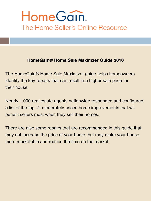# HomeGain. The Home Seller's Online Resource

### **HomeGain**® **Home Sale Maximzer Guide 2010**

The HomeGain® Home Sale Maximizer guide helps homeowners identify the key repairs that can result in a higher sale price for their house.

Nearly 1,000 real estate agents nationwide responded and configured a list of the top 12 moderately priced home improvements that will benefit sellers most when they sell their homes.

There are also some repairs that are recommended in this guide that may not increase the price of your home, but may make your house more marketable and reduce the time on the market.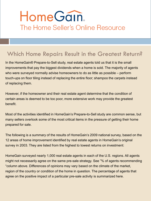# HomeGain. The Home Seller's Online Resource

### Which Home Repairs Result in the Greatest Return?

In the HomeGain® Prepare-to-Sell study, real estate agents told us that it is the small improvements that pay the biggest dividends when a home is sold. The majority of agents who were surveyed normally advise homeowners to do as little as possible – perform touch-ups on floor tiling instead of replacing the entire floor; shampoo the carpets instead of replacing them.

However, if the homeowner and their real estate agent determine that the condition of certain areas is deemed to be too poor, more extensive work may provide the greatest benefit.

Most of the activities identified in HomeGain's Prepare-to-Sell study are common sense, but many sellers overlook some of the most critical items in the pressure of getting their home prepared for sale.

The following is a summary of the results of HomeGain's 2009 national survey, based on the 12 areas of home improvement identified by real estate agents in HomeGain's original survey in 2003. They are listed from the highest to lowest returns on investment:

HomeGain surveyed nearly 1,000 real estate agents in each of the U.S. regions. All agents might not necessarily agree on the same pre-sale strategy. See "% of agents recommending "column above. Differences of opinions may vary based on the climate of the market, region of the country or condition of the home in question. The percentage of agents that agree on the positive impact of a particular pre-sale activity is summarized here.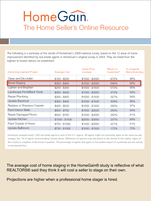# HomeGain. The Home Seller's Online Resource

The following is a summary of the results of HomeGain's 2009 national survey, based on the 12 areas of home improvement identified by real estate agents in HomeGain's original survey in 2003. They are listed from the highest to lowest returns on investment:

| Home Improvement Project   | Average Cost    | Home Price<br>Increase | Return on<br>Investment <sup>*</sup> | % of Agents<br>Recommending |
|----------------------------|-----------------|------------------------|--------------------------------------|-----------------------------|
| Clean and De-clutter       | $$100 - $200$   | \$1500 - \$2000        | 872%                                 | 98%                         |
| Home Staging               | $$300 - $400$   | $$1500 - $2000$        | 586%                                 | 82%                         |
| Lighten and Brighten       | \$200 - \$300   | $$1000 - $1500$        | 572%                                 | 95%                         |
| Landscape Front/Back Yards | $$300 - $400$   | \$1500 - \$2000        | 473%                                 | 94%                         |
| Repair Plumbing            | \$300 - \$400   | \$1000 - \$1500        | 327%                                 | 88%                         |
| Update Electrical          | \$300 - \$400   | \$1000 - \$1500        | 309%                                 | 89%                         |
| Replace or Shampoo Carpets | \$400 - \$500   | \$1000 - \$1500        | 295%                                 | 97%                         |
| Paint Interior Walls       | \$500 - \$750   | \$1500 - \$2000        | 250%                                 | 94%                         |
| Repair Damaged Floors      | \$500 - \$750   | \$1500 - \$2000        | 250%                                 | 91%                         |
| Update Kitchen             | $$1000 - $1500$ | \$2000 - \$3000        | 237%                                 | 69%                         |
| Paint Outside of Home      | \$750 - \$1000  | \$1500 - \$2000        | 201%                                 | 81%                         |
| Update Bathroom            | \$750 - \$1000  | \$1000 - \$1500        | 172%                                 | 70%                         |
|                            |                 |                        |                                      |                             |

HomeGain surveyed nearly 1,000 real estate agents in each of the U.S. regions. All agents might not necessarily agree on the same pre-sale strategy. See "% of agents recommending"column above. Differences of opinions may vary based on the climate of the market, region of the country or condition of the home in question. The percentage of agents that agree on the positive impact of a particular pre-sale activity is summarized here.

The average cost of home staging in the HomeGain® study is reflective of what REALTORS® said they think it will cost a seller to stage on their own.

Projections are higher when a professional home stager is hired.